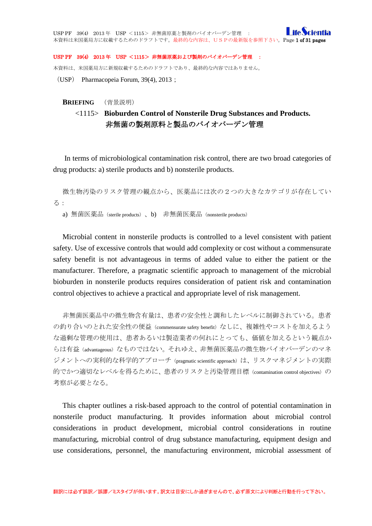#### USP PF 39(4) 2013 年 USP <1115> 非無菌原薬および製剤のバイオバーデン管理 :

本資料は、米国薬局方に新規収載するためのドラフトであり、最終的な内容ではありません。

(USP) Pharmacopeia Forum, 39(4), 2013;

#### **BRIEFING** (背景説明)

## <1115> **Bioburden Control of Nonsterile Drug Substances and Products.** 非無菌の製剤原料と製品のバイオバーデン管理

In terms of microbiological contamination risk control, there are two broad categories of drug products: a) sterile products and b) nonsterile products.

```
微生物汚染のリスク管理の観点から、医薬品には次の2つの大きなカテゴリが存在してい
る:
```
a) 無菌医薬品(sterile products)、b) 非無菌医薬品(nonsterile products)

Microbial content in nonsterile products is controlled to a level consistent with patient safety. Use of excessive controls that would add complexity or cost without a commensurate safety benefit is not advantageous in terms of added value to either the patient or the manufacturer. Therefore, a pragmatic scientific approach to management of the microbial bioburden in nonsterile products requires consideration of patient risk and contamination control objectives to achieve a practical and appropriate level of risk management.

非無菌医薬品中の微生物含有量は、患者の安全性と調和したレベルに制御されている。患者 の釣り合いのとれた安全性の便益(commensurate safety benefit)なしに、複雑性やコストを加えるよう な過剰な管理の使用は、患者あるいは製造業者の何れにとっても、価値を加えるという観点か らは有益(advantageous)なものではない。それゆえ、非無菌医薬品の微生物バイオバーデンのマネ ジメントへの実利的な科学的アプローチ (pragmatic scientific approach) は、リスクマネジメントの実際 的でかつ適切なレベルを得るために、患者のリスクと汚染管理目標 (contamination control objectives)の 考察が必要となる。

This chapter outlines a risk-based approach to the control of potential contamination in nonsterile product manufacturing. It provides information about microbial control considerations in product development, microbial control considerations in routine manufacturing, microbial control of drug substance manufacturing, equipment design and use considerations, personnel, the manufacturing environment, microbial assessment of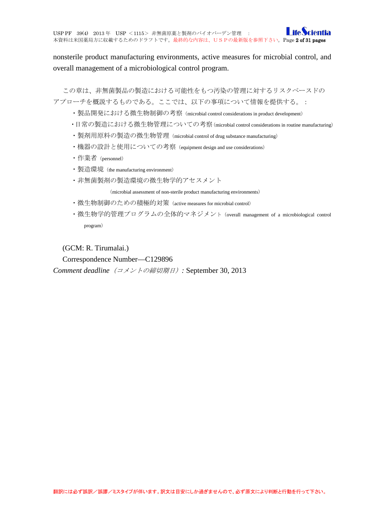**I** ife *Scientia* USP PF 39(4) 2013 年 USP <1115> 非無菌原薬と製剤のバイオバーデン管理 : 本資料は米国薬局方に収載するためのドラフトです。最終的な内容は、USPの最新版を参照下さい。Page 2 of 31 pages

nonsterile product manufacturing environments, active measures for microbial control, and overall management of a microbiological control program.

この章は、非無菌製品の製造における可能性をもつ汚染の管理に対するリスクベースドの アプローチを概説するものである。ここでは、以下の事項について情報を提供する。:

- ・製品開発における微生物制御の考察(microbial control considerations in product development)
- ・日常の製造における微生物管理についての考察(microbial control considerations in routine manufacturing)
- ・製剤用原料の製造の微生物管理(microbial control of drug substance manufacturing)
- ・機器の設計と使用についての考察(equipment design and use considerations)
- ・作業者(personnel)
- ・製造環境(the manufacturing environment)
- ・非無菌製剤の製造環境の微生物学的アセスメント

(microbial assessment of non-sterile product manufacturing environments)

- ・微生物制御のための積極的対策(active measures for microbial control)
- ・微生物学的管理プログラムの全体的マネジメント(overall management of a microbiological control program)

(GCM: R. Tirumalai.)

Correspondence Number—C129896

*Comment deadline*(コメントの締切期日)*:* September 30, 2013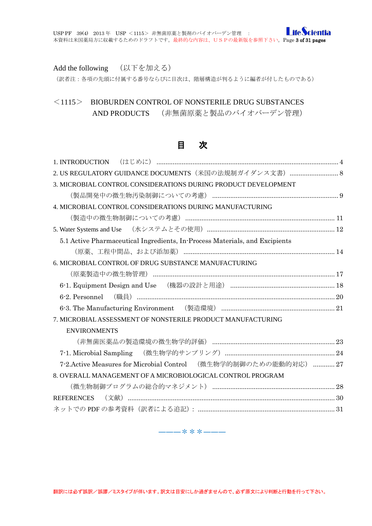Add the following (以下を加える)

(訳者注:各項の先頭に付属する番号ならびに目次は、階層構造が判るように編者が付したものである)

# <1115> BIOBURDEN CONTROL OF NONSTERILE DRUG SUBSTANCES AND PRODUCTS (非無菌原薬と製品のバイオバーデン管理)

## 目 次

| 2. US REGULATORY GUIDANCE DOCUMENTS (米国の法規制ガイダンス文書)  8                      |  |
|-----------------------------------------------------------------------------|--|
| 3. MICROBIAL CONTROL CONSIDERATIONS DURING PRODUCT DEVELOPMENT              |  |
|                                                                             |  |
| 4. MICROBIAL CONTROL CONSIDERATIONS DURING MANUFACTURING                    |  |
|                                                                             |  |
|                                                                             |  |
| 5.1 Active Pharmaceutical Ingredients, In-Process Materials, and Excipients |  |
|                                                                             |  |
| 6. MICROBIAL CONTROL OF DRUG SUBSTANCE MANUFACTURING                        |  |
|                                                                             |  |
|                                                                             |  |
|                                                                             |  |
|                                                                             |  |
| 7. MICROBIAL ASSESSMENT OF NONSTERILE PRODUCT MANUFACTURING                 |  |
| <b>ENVIRONMENTS</b>                                                         |  |
|                                                                             |  |
|                                                                             |  |
| 7-2.Active Measures for Microbial Control (微生物学的制御のための能動的対応)  27            |  |
| 8. OVERALL MANAGEMENT OF A MICROBIOLOGICAL CONTROL PROGRAM                  |  |
|                                                                             |  |
| REFERENCES                                                                  |  |
|                                                                             |  |

―――\*\*\*―――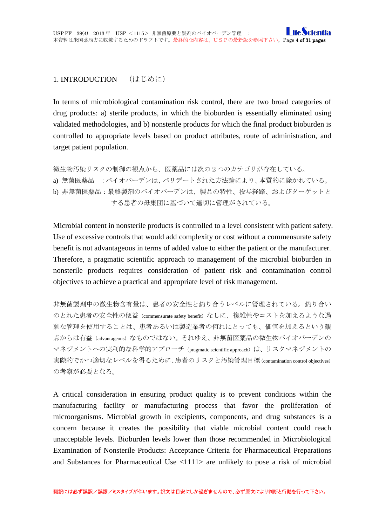#### <span id="page-3-0"></span>1. INTRODUCTION (はじめに)

In terms of microbiological contamination risk control, there are two broad categories of drug products: a) sterile products, in which the bioburden is essentially eliminated using validated methodologies, and b) nonsterile products for which the final product bioburden is controlled to appropriate levels based on product attributes, route of administration, and target patient population.

```
微生物汚染リスクの制御の観点から、医薬品には次の2つのカテゴリが存在している。
```

```
a) 無菌医薬品 :バイオバーデンは、バリデートされた方法論により、本質的に除かれている。
```
b) 非無菌医薬品:最終製剤のバイオバーデンは、製品の特性、投与経路、およびターゲットと する患者の母集団に基づいて適切に管理がされている。

Microbial content in nonsterile products is controlled to a level consistent with patient safety. Use of excessive controls that would add complexity or cost without a commensurate safety benefit is not advantageous in terms of added value to either the patient or the manufacturer. Therefore, a pragmatic scientific approach to management of the microbial bioburden in nonsterile products requires consideration of patient risk and contamination control objectives to achieve a practical and appropriate level of risk management.

非無菌製剤中の微生物含有量は、患者の安全性と釣り合うレベルに管理されている。釣り合い のとれた患者の安全性の便益(commensurate safety benefit)なしに、複雑性やコストを加えるような過 剰な管理を使用することは、患者あるいは製造業者の何れにとっても、価値を加えるという観 点からは有益(advantageous)なものではない。それゆえ、非無菌医薬品の微生物バイオバーデンの マネジメントへの実利的な科学的アプローチ(pragmatic scientific approach)は、リスクマネジメントの 実際的でかつ適切なレベルを得るために、患者のリスクと汚染管理目標(contamination control objectives) の考察が必要となる。

A critical consideration in ensuring product quality is to prevent conditions within the manufacturing facility or manufacturing process that favor the proliferation of microorganisms. Microbial growth in excipients, components, and drug substances is a concern because it creates the possibility that viable microbial content could reach unacceptable levels. Bioburden levels lower than those recommended in Microbiological Examination of Nonsterile Products: Acceptance Criteria for Pharmaceutical Preparations and Substances for Pharmaceutical Use <1111> are unlikely to pose a risk of microbial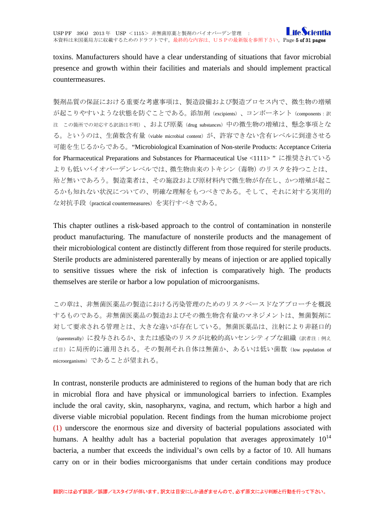toxins. Manufacturers should have a clear understanding of situations that favor microbial presence and growth within their facilities and materials and should implement practical countermeasures.

製剤品質の保証における重要な考慮事項は、製造設備および製造プロセス内で、微生物の増殖 が起こりやすいような状態を防ぐことである。添加剤 (excipients)、コンポーネント (components:訳 注 この箇所での対応する訳語は不明)、および原薬(drug substances)中の微生物の増殖は、懸念事項とな る。というのは、生菌数含有量(viable microbial content)が、許容できない含有レベルに到達させる 可能を生じるからである。"Microbiological Examination of Non-sterile Products: Acceptance Criteria for Pharmaceutical Preparations and Substances for Pharmaceutical Use <1111> " に推奨されている よりも低いバイオバーデンレベルでは、微生物由来のトキシン(毒物)のリスクを持つことは、 殆ど無いであろう。製造業者は、その施設および原材料内で微生物が存在し、かつ増殖が起こ るかも知れない状況についての、明確な理解をもつべきである。そして、それに対する実用的 な対抗手段(practical countermeasures)を実行すべきである。

This chapter outlines a risk-based approach to the control of contamination in nonsterile product manufacturing. The manufacture of nonsterile products and the management of their microbiological content are distinctly different from those required for sterile products. Sterile products are administered parenterally by means of injection or are applied topically to sensitive tissues where the risk of infection is comparatively high. The products themselves are sterile or harbor a low population of microorganisms.

この章は、非無菌医薬品の製造における汚染管理のためのリスクベースドなアプローチを概説 するものである。非無菌医薬品の製造およびその微生物含有量のマネジメントは、無菌製剤に 対して要求される管理とは、大きな違いが存在している。無菌医薬品は、注射により非経口的 (parenterally)に投与されるか、または感染のリスクが比較的高いセンシティブな組織(訳者注:例え ば目)に局所的に適用される。その製剤それ自体は無菌か、あるいは低い菌数(low population of microorganisms)であることが望まれる。

In contrast, nonsterile products are administered to regions of the human body that are rich in microbial flora and have physical or immunological barriers to infection. Examples include the oral cavity, skin, nasopharynx, vagina, and rectum, which harbor a high and diverse viable microbial population. Recent findings from the human microbiome project (1) underscore the enormous size and diversity of bacterial populations associated with humans. A healthy adult has a bacterial population that averages approximately  $10^{14}$ bacteria, a number that exceeds the individual's own cells by a factor of 10. All humans carry on or in their bodies microorganisms that under certain conditions may produce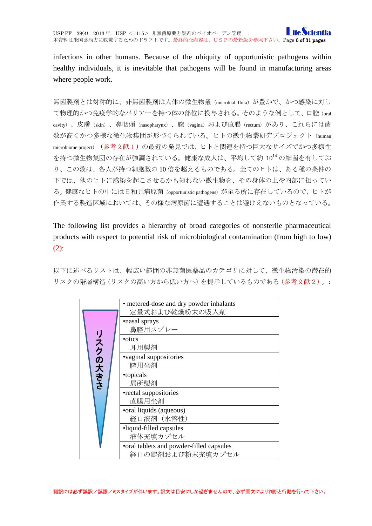infections in other humans. Because of the ubiquity of opportunistic pathogens within healthy individuals, it is inevitable that pathogens will be found in manufacturing areas where people work.

無菌製剤とは対称的に、非無菌製剤は人体の微生物叢(microbial flora)が豊かで、かつ感染に対し て物理的かつ免疫学的なバリアーを持つ体の部位に投与される。そのような例として、口腔(oral cavity)、皮膚(skin)、鼻咽頭(nasopharynx)、膣(vagina)および直腸(rectum)があり、これらには菌 数が高くかつ多様な微生物集団が形づくられている。ヒトの微生物叢研究プロジェクト (human microbiome project) (参考文献1)の最近の発見では、ヒトと関連を持つ巨大なサイズでかつ多様性 を持つ微生物集団の存在が強調されている。健康な成人は、平均して約 1014 の細菌を有してお り、この数は、各人が持つ細胞数の 10 倍を超えるものである。全てのヒトは、ある種の条件の 下では、他のヒトに感染を起こさせるかも知れない微生物を、その身体の上や内部に担ってい る。健康なヒトの中には日和見病原菌(opportunistic pathogens)が至る所に存在しているので、ヒトが 作業する製造区域においては、その様な病原菌に遭遇することは避けえないものとなっている。

The following list provides a hierarchy of broad categories of nonsterile pharmaceutical products with respect to potential risk of microbiological contamination (from high to low)  $(2)$ :

以下に述べるリストは、幅広い範囲の非無菌医薬品のカテゴリに対して、微生物汚染の潜在的 リスクの階層構造(リスクの高い方から低い方へ)を提示しているものである(参考文献2)。:

|         | • metered-dose and dry powder inhalants<br>定量式および乾燥粉末の吸入剤    |
|---------|--------------------------------------------------------------|
| リスクの大きさ | •nasal sprays<br>鼻腔用スプレー                                     |
|         | • otics<br>耳用製剤                                              |
|         | •vaginal suppositories<br>膣用坐剤                               |
|         | •topicals<br>局所製剤                                            |
|         | •rectal suppositories<br>直腸用坐剤                               |
|         | •oral liquids (aqueous)<br>経口液剤 (水溶性)                        |
|         | •liquid-filled capsules<br>液体充填カプセル                          |
|         | •oral tablets and powder-filled capsules<br>経口の錠剤および粉末充填カプセル |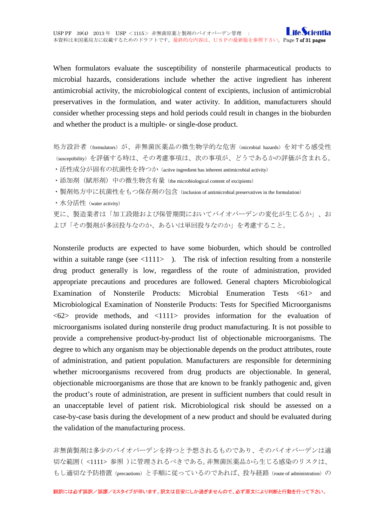When formulators evaluate the susceptibility of nonsterile pharmaceutical products to microbial hazards, considerations include whether the active ingredient has inherent antimicrobial activity, the microbiological content of excipients, inclusion of antimicrobial preservatives in the formulation, and water activity. In addition, manufacturers should consider whether processing steps and hold periods could result in changes in the bioburden and whether the product is a multiple- or single-dose product.

処方設計者(formulators)が、非無菌医薬品の微生物学的な危害(microbial hazards)を対する感受性 (susceptibility)を評価する時は、その考慮事項は、次の事項が、どうであるかの評価が含まれる。

- ・活性成分が固有の抗菌性を持つか (active ingredient has inherent antimicrobial activity)
- ・添加剤(賦形剤)中の微生物含有量(the microbiological content of excipients)
- ・製剤処方中に抗菌性をもつ保存剤の包含(inclusion of antimicrobial preservatives in the formulation)

・水分活性(water activity)

更に、製造業者は「加工段階および保管期間においてバイオバーデンの変化が生じるか」、お よび「その製剤が多回投与なのか、あるいは単回投与なのか」を考慮すること。

Nonsterile products are expected to have some bioburden, which should be controlled within a suitable range (see  $\langle 1111 \rangle$ ). The risk of infection resulting from a nonsterile drug product generally is low, regardless of the route of administration, provided appropriate precautions and procedures are followed. General chapters Microbiological Examination of Nonsterile Products: Microbial Enumeration Tests <61> and Microbiological Examination of Nonsterile Products: Tests for Specified Microorganisms  $\langle 62 \rangle$  provide methods, and  $\langle 1111 \rangle$  provides information for the evaluation of microorganisms isolated during nonsterile drug product manufacturing. It is not possible to provide a comprehensive product-by-product list of objectionable microorganisms. The degree to which any organism may be objectionable depends on the product attributes, route of administration, and patient population. Manufacturers are responsible for determining whether microorganisms recovered from drug products are objectionable. In general, objectionable microorganisms are those that are known to be frankly pathogenic and, given the product's route of administration, are present in sufficient numbers that could result in an unacceptable level of patient risk. Microbiological risk should be assessed on a case-by-case basis during the development of a new product and should be evaluated during the validation of the manufacturing process.

非無菌製剤は多少のバイオバーデンを持つと予想されるものであり、そのバイオバーデンは適 切な範囲( <1111> 参照 )に管理されるべきである。非無菌医薬品から生じる感染のリスクは、 もし適切な予防措置(precautions)と手順に従っているのであれば、投与経路(route of administration)の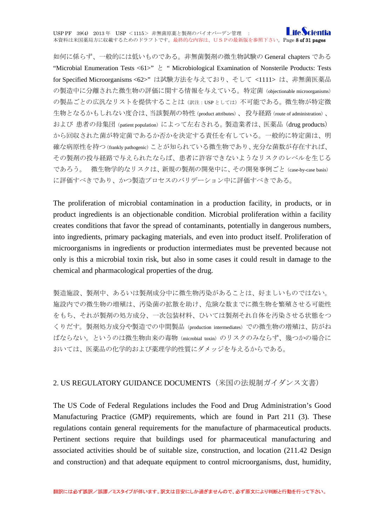如何に係らず、一般的には低いものである。非無菌製剤の微生物試験の General chapters である "Microbial Enumeration Tests <61>"  $\geq$  " Microbiological Examination of Nonsterile Products: Tests for Specified Microorganisms <62>" は試験方法を与えており、そして <1111> は、非無菌医薬品 の製造中に分離された微生物の評価に関する情報を与えている。特定菌(objectionable microorganisms) の製品ごとの広汎なリストを提供することは(訳注: USP としては)不可能である。微生物が特定微 生物となるかもしれない度合は、当該製剤の特性(product attributes)、投与経路(route of administration)、 および 患者の母集団 (patient population) によって左右される。製造業者は、医薬品 (drug products) から回収された菌が特定菌であるか否かを決定する責任を有している。一般的に特定菌は、明 確な病原性を持つ(frankly pathogenic)ことが知られている微生物であり、充分な菌数が存在すれば、 その製剤の投与経路で与えられたならば、患者に許容できないようなリスクのレベルを生じる であろう。 微生物学的なリスクは、新規の製剤の開発中に、その開発事例ごと(case-by-case basis) に評価すべきであり、かつ製造プロセスのバリデーション中に評価すべきである。

The proliferation of microbial contamination in a production facility, in products, or in product ingredients is an objectionable condition. Microbial proliferation within a facility creates conditions that favor the spread of contaminants, potentially in dangerous numbers, into ingredients, primary packaging materials, and even into product itself. Proliferation of microorganisms in ingredients or production intermediates must be prevented because not only is this a microbial toxin risk, but also in some cases it could result in damage to the chemical and pharmacological properties of the drug.

製造施設、製剤中、あるいは製剤成分中に微生物汚染があることは、好ましいものではない。 施設内での微生物の増殖は、汚染菌の拡散を助け、危険な数までに微生物を繁殖させる可能性 をもち、それが製剤の処方成分、一次包装材料、ひいては製剤それ自体を汚染させる状態をつ くりだす。製剤処方成分や製造での中間製品(production intermediates)での微生物の増殖は、防がね ばならない。というのは微生物由来の毒物(microbial toxin)のリスクのみならず、幾つかの場合に おいては、医薬品の化学的および薬理学的性質にダメッジを与えるからである。

#### <span id="page-7-0"></span>2. US REGULATORY GUIDANCE DOCUMENTS(米国の法規制ガイダンス文書)

The US Code of Federal Regulations includes the Food and Drug Administration's Good Manufacturing Practice (GMP) requirements, which are found in Part 211 (3). These regulations contain general requirements for the manufacture of pharmaceutical products. Pertinent sections require that buildings used for pharmaceutical manufacturing and associated activities should be of suitable size, construction, and location (211.42 Design and construction) and that adequate equipment to control microorganisms, dust, humidity,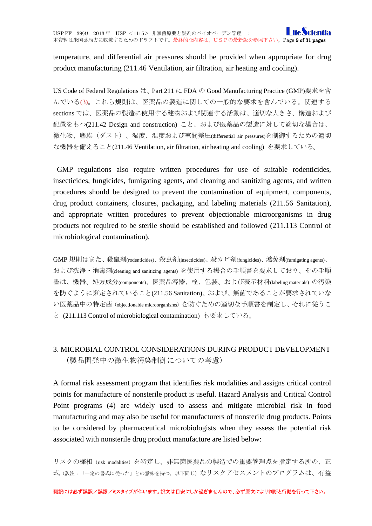temperature, and differential air pressures should be provided when appropriate for drug product manufacturing (211.46 Ventilation, air filtration, air heating and cooling).

US Code of Federal Regulations は、Part 211 に FDA の Good Manufacturing Practice (GMP)要求を含 んでいる(3)。これら規則は、医薬品の製造に関しての一般的な要求を含んでいる。関連する sections では、医薬品の製造に使用する建物および関連する活動は、適切な大きさ、構造および 配置をもつ(211.42 Design and construction) こと、および医薬品の製造に対して適切な場合は、 微生物、塵埃(ダスト)、湿度、温度および室間差圧(differential air pressures)を制御するための適切 な機器を備えること(211.46 Ventilation, air filtration, air heating and cooling) を要求している。

GMP regulations also require written procedures for use of suitable rodenticides, insecticides, fungicides, fumigating agents, and cleaning and sanitizing agents, and written procedures should be designed to prevent the contamination of equipment, components, drug product containers, closures, packaging, and labeling materials (211.56 Sanitation), and appropriate written procedures to prevent objectionable microorganisms in drug products not required to be sterile should be established and followed (211.113 Control of microbiological contamination).

GMP 規則はまた、殺鼠剤(rodenticides)、殺虫剤(insecticides)、殺カビ剤(fungicides)、燻蒸剤(fumigating agents)、 および洗浄・消毒剤(cleaning and sanitizing agents) を使用する場合の手順書を要求しており、その手順 書は、機器、処方成分(components)、医薬品容器、栓、包装、および表示材料(labeling materials) の汚染 を防ぐように策定されていること(211.56 Sanitation)、および、無菌であることが要求されていな い医薬品中の特定菌(objectionable microorganisms)を防ぐための適切な手順書を制定し、それに従うこ と (211.113 Control of microbiological contamination) も要求している。

# <span id="page-8-0"></span>3. MICROBIAL CONTROL CONSIDERATIONS DURING PRODUCT DEVELOPMENT (製品開発中の微生物汚染制御についての考慮)

A formal risk assessment program that identifies risk modalities and assigns critical control points for manufacture of nonsterile product is useful. Hazard Analysis and Critical Control Point programs (4) are widely used to assess and mitigate microbial risk in food manufacturing and may also be useful for manufacturers of nonsterile drug products. Points to be considered by pharmaceutical microbiologists when they assess the potential risk associated with nonsterile drug product manufacture are listed below:

リスクの様相(risk modalities)を特定し、非無菌医薬品の製造での重要管理点を指定する所の、正 式(訳注:「一定の書式に従った」との意味を持つ。以下同じ)なリスクアセスメントのプログラムは、有益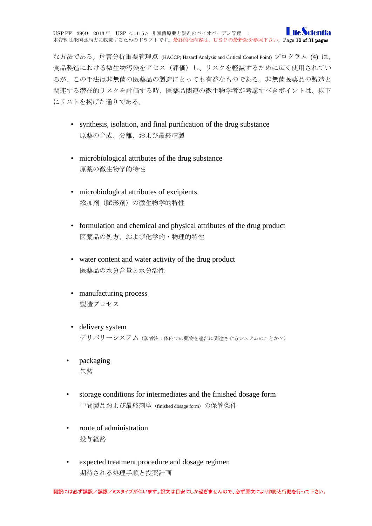な方法である。危害分析重要管理点 (HACCP; Hazard Analysis and Critical Control Point) プログラム (4) は、 食品製造における微生物汚染をアセス(評価)し、リスクを軽減するために広く使用されてい るが、この手法は非無菌の医薬品の製造にとっても有益なものである。非無菌医薬品の製造と 関連する潜在的リスクを評価する時、医薬品関連の微生物学者が考慮すべきポイントは、以下 にリストを掲げた通りである。

- synthesis, isolation, and final purification of the drug substance 原薬の合成、分離、および最終精製
- microbiological attributes of the drug substance 原薬の微生物学的特性
- microbiological attributes of excipients 添加剤(賦形剤)の微生物学的特性
- formulation and chemical and physical attributes of the drug product 医薬品の処方、および化学的・物理的特性
- water content and water activity of the drug product 医薬品の水分含量と水分活性
- manufacturing process 製造プロセス
- delivery system デリバリーシステム(訳者注:体内での薬物を患部に到達させるシステムのことか?)
- packaging 包装
- storage conditions for intermediates and the finished dosage form 中間製品および最終剤型 (finished dosage form) の保管条件
- route of administration 投与経路
- expected treatment procedure and dosage regimen 期待される処理手順と投薬計画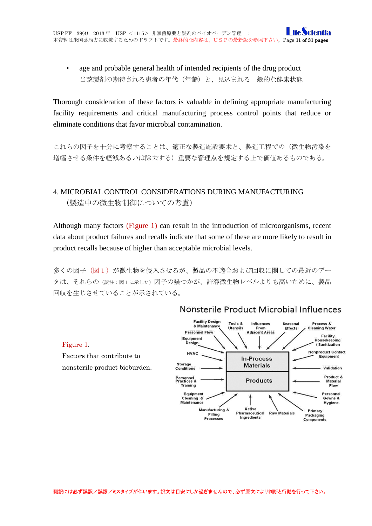• age and probable general health of intended recipients of the drug product 当該製剤の期待される患者の年代(年齢)と、見込まれる一般的な健康状態

Thorough consideration of these factors is valuable in defining appropriate manufacturing facility requirements and critical manufacturing process control points that reduce or eliminate conditions that favor microbial contamination.

これらの因子を十分に考察することは、適正な製造施設要求と、製造工程での(微生物汚染を 増幅させる条件を軽減あるいは除去する)重要な管理点を規定する上で価値あるものである。

# <span id="page-10-0"></span>4. MICROBIAL CONTROL CONSIDERATIONS DURING MANUFACTURING (製造中の微生物制御についての考慮)

Although many factors (Figure 1) can result in the introduction of microorganisms, recent data about product failures and recalls indicate that some of these are more likely to result in product recalls because of higher than acceptable microbial levels.

多くの因子(図1)が微生物を侵入させるが、製品の不適合および回収に関しての最近のデー タは、それらの(訳注:図1に示した)因子の幾つかが、許容微生物レベルよりも高いために、製品 回収を生じさせていることが示されている。

Figure 1.



### Nonsterile Product Microbial Influences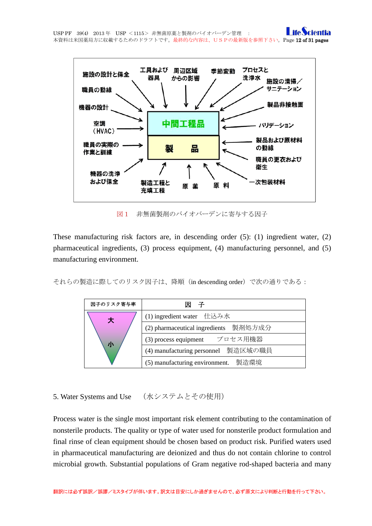

図1 非無菌製剤のバイオバーデンに寄与する因子

These manufacturing risk factors are, in descending order (5): (1) ingredient water, (2) pharmaceutical ingredients, (3) process equipment, (4) manufacturing personnel, and (5) manufacturing environment.

それらの製造に際してのリスク因子は、降順(in descending order)で次の通りである:

| 因子のリスク寄与率 | 子                                     |
|-----------|---------------------------------------|
| 大<br>小    | (1) ingredient water 仕込み水             |
|           | (2) pharmaceutical ingredients 製剤処方成分 |
|           | (3) process equipment プロセス用機器         |
|           | (4) manufacturing personnel 製造区域の職員   |
|           | (5) manufacturing environment. 製造環境   |

<span id="page-11-0"></span>5. Water Systems and Use (水システムとその使用)

Process water is the single most important risk element contributing to the contamination of nonsterile products. The quality or type of water used for nonsterile product formulation and final rinse of clean equipment should be chosen based on product risk. Purified waters used in pharmaceutical manufacturing are deionized and thus do not contain chlorine to control microbial growth. Substantial populations of Gram negative rod-shaped bacteria and many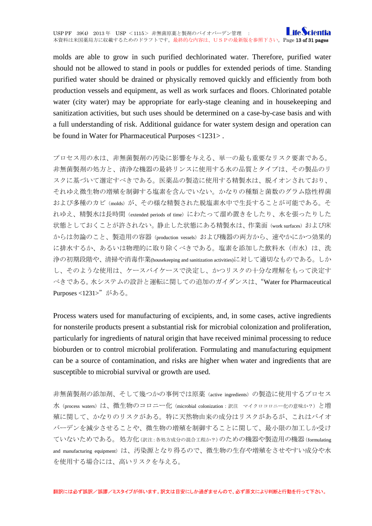molds are able to grow in such purified dechlorinated water. Therefore, purified water should not be allowed to stand in pools or puddles for extended periods of time. Standing purified water should be drained or physically removed quickly and efficiently from both production vessels and equipment, as well as work surfaces and floors. Chlorinated potable water (city water) may be appropriate for early-stage cleaning and in housekeeping and sanitization activities, but such uses should be determined on a case-by-case basis and with a full understanding of risk. Additional guidance for water system design and operation can be found in Water for Pharmaceutical Purposes <1231> .

プロセス用の水は、非無菌製剤の汚染に影響を与える、単一の最も重要なリスク要素である。 非無菌製剤の処方と、清浄な機器の最終リンスに使用する水の品質とタイプは、その製品のリ スクに基づいて選定すべきである。医薬品の製造に使用する精製水は、脱イオンされており、 それゆえ微生物の増殖を制御する塩素を含んでいない。かなりの種類と菌数のグラム陰性桿菌 および多種のカビ(molds)が、その様な精製された脱塩素水中で生長することが可能である。そ れゆえ、精製水は長時間 (extended periods of time) にわたって溜め置きをしたり、水を張ったりした 状態としておくことが許されない。静止した状態にある精製水は、作業面(work surfaces)および床 からは勿論のこと、製造用の容器 (production vessels) および機器の両方から、速やかにかつ効果的 に排水するか、あるいは物理的に取り除くべきである。塩素を添加した飲料水(市水)は、洗 浄の初期段階や、清掃や消毒作業(housekeeping and sanitization activities)に対して適切なものである。しか し、そのような使用は、ケースバイケースで決定し、かつリスクの十分な理解をもって決定す べきである。水システムの設計と運転に関しての追加のガイダンスは、"Water for Pharmaceutical Purposes <1231>"がある。

Process waters used for manufacturing of excipients, and, in some cases, active ingredients for nonsterile products present a substantial risk for microbial colonization and proliferation, particularly for ingredients of natural origin that have received minimal processing to reduce bioburden or to control microbial proliferation. Formulating and manufacturing equipment can be a source of contamination, and risks are higher when water and ingredients that are susceptible to microbial survival or growth are used.

非無菌製剤の添加剤、そして幾つかの事例では原薬(active ingredients)の製造に使用するプロセス 水(process waters)は、微生物のコロニー化(microbial colonization:訳注 マイクロコロニー化の意味か?)と増 殖に関して、かなりのリスクがある。特に天然物由来の成分はリスクがあるが、これはバイオ バーデンを減少させることや、微生物の増殖を制御することに関して、最小限の加工しか受け ていないためである。処方化(訳注:各処方成分の混合工程か?)のための機器や製造用の機器(formulating and manufacturing equipment)は、汚染源となり得るので、微生物の生存や増殖をさせやすい成分や水 を使用する場合には、高いリスクを与える。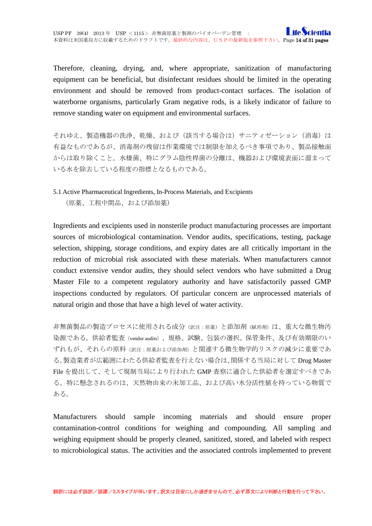Therefore, cleaning, drying, and, where appropriate, sanitization of manufacturing equipment can be beneficial, but disinfectant residues should be limited in the operating environment and should be removed from product-contact surfaces. The isolation of waterborne organisms, particularly Gram negative rods, is a likely indicator of failure to remove standing water on equipment and environmental surfaces.

それゆえ、製造機器の洗浄、乾燥、および(該当する場合は)サニティゼーション(消毒)は 有益なものであるが、消毒剤の残留は作業環境では制限を加えるべき事項であり、製品接触面 からは取り除くこと。水棲菌、特にグラム陰性桿菌の分離は、機器および環境表面に溜まって いる水を除去している程度の指標となるものである。

# <span id="page-13-0"></span>5.1 Active Pharmaceutical Ingredients, In-Process Materials, and Excipients (原薬、工程中間品、および添加薬)

Ingredients and excipients used in nonsterile product manufacturing processes are important sources of microbiological contamination. Vendor audits, specifications, testing, package selection, shipping, storage conditions, and expiry dates are all critically important in the reduction of microbial risk associated with these materials. When manufacturers cannot conduct extensive vendor audits, they should select vendors who have submitted a Drug Master File to a competent regulatory authority and have satisfactorily passed GMP inspections conducted by regulators. Of particular concern are unprocessed materials of natural origin and those that have a high level of water activity.

非無菌製品の製造プロセスに使用される成分(訳注:原薬)と添加剤(賦形剤)は、重大な微生物汚 染源である。供給者監査(vendor audits)、規格、試験、包装の選択、保管条件、及び有効期限のい ずれもが、それらの原料(訳注:原薬および添加剤)と関連する微生物学的リスクの減少に重要であ る。製造業者が広範囲にわたる供給者監査を行えない場合は、関係する当局に対して Drug Master File を提出して、そして規制当局により行われた GMP 査察に適合した供給者を選定すべきであ る。特に懸念されるのは、天然物由来の未加工品、および高い水分活性値を持っている物質で ある。

Manufacturers should sample incoming materials and should ensure proper contamination-control conditions for weighing and compounding. All sampling and weighing equipment should be properly cleaned, sanitized, stored, and labeled with respect to microbiological status. The activities and the associated controls implemented to prevent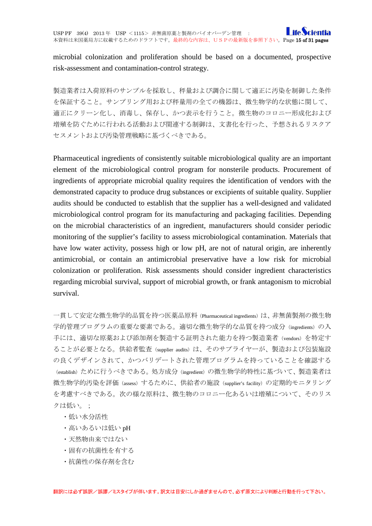microbial colonization and proliferation should be based on a documented, prospective risk-assessment and contamination-control strategy.

製造業者は入荷原料のサンプルを採取し、秤量および調合に関して適正に汚染を制御した条件 を保証すること。サンプリング用および秤量用の全ての機器は、微生物学的な状態に関して、 適正にクリーン化し、消毒し、保存し、かつ表示を行うこと。微生物のコロニー形成化および 増殖を防ぐために行われる活動および関連する制御は、文書化を行った、予想されるリスクア セスメントおよび汚染管理戦略に基づくべきである。

Pharmaceutical ingredients of consistently suitable microbiological quality are an important element of the microbiological control program for nonsterile products. Procurement of ingredients of appropriate microbial quality requires the identification of vendors with the demonstrated capacity to produce drug substances or excipients of suitable quality. Supplier audits should be conducted to establish that the supplier has a well-designed and validated microbiological control program for its manufacturing and packaging facilities. Depending on the microbial characteristics of an ingredient, manufacturers should consider periodic monitoring of the supplier's facility to assess microbiological contamination. Materials that have low water activity, possess high or low pH, are not of natural origin, are inherently antimicrobial, or contain an antimicrobial preservative have a low risk for microbial colonization or proliferation. Risk assessments should consider ingredient characteristics regarding microbial survival, support of microbial growth, or frank antagonism to microbial survival.

一貫して安定な微生物学的品質を持つ医薬品原料 (Pharmaceutical ingredients) は、非無菌製剤の微生物 学的管理プログラムの重要な要素である。適切な微生物学的な品質を持つ成分(ingredients)の入 手には、適切な原薬および添加剤を製造する証明された能力を持つ製造業者(vendors)を特定す ることが必要となる。供給者監査(supplier audits)は、そのサプライヤーが、製造および包装施設 の良くデザインされて、かつバリデートされた管理プログラムを持っていることを確認する (establish)ために行うべきである。処方成分(ingredient)の微生物学的特性に基づいて、製造業者は 微生物学的汚染を評価(assess)するために、供給者の施設(supplier's facility)の定期的モニタリング を考慮すべきである。次の様な原料は、微生物のコロニー化あるいは増殖について、そのリス クは低い。;

- ・低い水分活性
- ・高いあるいは低い pH
- ・天然物由来ではない
- ・固有の抗菌性を有する
- •抗菌性の保存剤を含む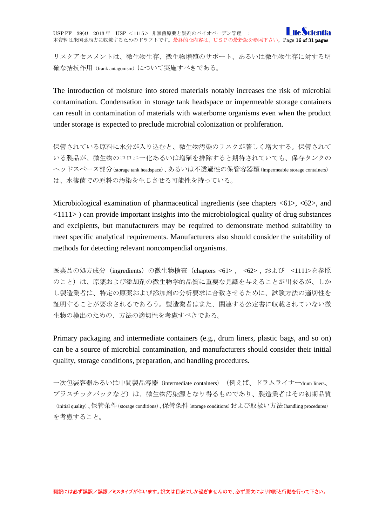**I** ife Sci USP PF 39(4) 2013 年 USP <1115> 非無菌原薬と製剤のバイオバーデン管理 : 本資料は米国薬局方に収載するためのドラフトです。最終的な内容は、USPの最新版を参照下さい。Page 16 of 31 pages

リスクアセスメントは、微生物生存、微生物増殖のサポート、あるいは微生物生存に対する明 確な拮抗作用 (frank antagonism) について実施すべきである。

The introduction of moisture into stored materials notably increases the risk of microbial contamination. Condensation in storage tank headspace or impermeable storage containers can result in contamination of materials with waterborne organisms even when the product under storage is expected to preclude microbial colonization or proliferation.

保管されている原料に水分が入り込むと、微生物汚染のリスクが著しく増大する。保管されて いる製品が、微生物のコロニー化あるいは増殖を排除すると期待されていても、保存タンクの ヘッドスペース部分(storage tank headspace)、あるいは不透過性の保管容器類(impermeable storage containers) は、水棲菌での原料の汚染を生じさせる可能性を持っている。

Microbiological examination of pharmaceutical ingredients (see chapters <61>, <62>, and <1111> ) can provide important insights into the microbiological quality of drug substances and excipients, but manufacturers may be required to demonstrate method suitability to meet specific analytical requirements. Manufacturers also should consider the suitability of methods for detecting relevant noncompendial organisms.

医薬品の処方成分(ingredients)の微生物検査(chapters <61> , <62> , および <1111>を参照 のこと)は、原薬および添加剤の微生物学的品質に重要な見識を与えることが出来るが、しか し製造業者は、特定の原薬および添加剤の分析要求に合致させるために、試験方法の適切性を 証明することが要求されるであろう。製造業者はまた、関連する公定書に収載されていない微 生物の検出のための、方法の適切性を考慮すべきである。

Primary packaging and intermediate containers (e.g., drum liners, plastic bags, and so on) can be a source of microbial contamination, and manufacturers should consider their initial quality, storage conditions, preparation, and handling procedures.

一次包装容器あるいは中間製品容器 (intermediate containers) (例えば、ドラムライナーdrum liners、 プラスチックバックなど)は、微生物汚染源となり得るものであり、製造業者はその初期品質 (initial quality)、保管条件(storage conditions)、保管条件(storage conditions)および取扱い方法(handling procedures) を考慮すること。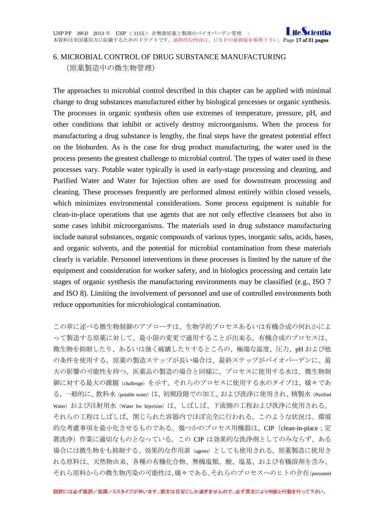### <span id="page-16-0"></span>6. MICROBIAL CONTROL OF DRUG SUBSTANCE MANUFACTURING (原薬製造中の微生物管理)

The approaches to microbial control described in this chapter can be applied with minimal change to drug substances manufactured either by biological processes or organic synthesis. The processes in organic synthesis often use extremes of temperature, pressure, pH, and other conditions that inhibit or actively destroy microorganisms. When the process for manufacturing a drug substance is lengthy, the final steps have the greatest potential effect on the bioburden. As is the case for drug product manufacturing, the water used in the process presents the greatest challenge to microbial control. The types of water used in these processes vary. Potable water typically is used in early-stage processing and cleaning, and Purified Water and Water for Injection often are used for downstream processing and cleaning. These processes frequently are performed almost entirely within closed vessels, which minimizes environmental considerations. Some process equipment is suitable for clean-in-place operations that use agents that are not only effective cleansers but also in some cases inhibit microorganisms. The materials used in drug substance manufacturing include natural substances, organic compounds of various types, inorganic salts, acids, bases, and organic solvents, and the potential for microbial contamination from these materials clearly is variable. Personnel interventions in these processes is limited by the nature of the equipment and consideration for worker safety, and in biologics processing and certain late stages of organic synthesis the manufacturing environments may be classified (e.g., ISO 7 and ISO 8). Limiting the involvement of personnel and use of controlled environments both reduce opportunities for microbiological contamination.

この章に述べる微生物制御のアプローチは、生物学的プロセスあるいは有機合成の何れかによ って製造する原薬に対して、最小限の変更で適用することが出来る。有機合成のプロセスは、 微生物を抑制したり、あるいは強く破壊したりするところの、極端な温度、圧力、pH および他 の条件を使用する。原薬の製造ステップが長い場合は、最終ステップがバイオバーデンに、最 大の影響の可能性を持つ。医薬品の製造の場合と同様に、プロセスに使用する水は、微生物制 御に対する最大の課題(challenge)を示す。それらのプロセスに使用する水のタイプは、様々であ る。一般的に、飲料水 (potable water) は、初期段階での加工、および洗浄に使用され、精製水(Purified Water) および注射用水 (Water for Injection) は、しばしば、下流側の工程および洗浄に使用される。 それらの工程はしばしば、閉じられた容器内でほぼ完全に行われる。このような状況は、環境 的な考慮事項を最小化させるものである。幾つかのプロセス用機器は、CIP (clean-in-place;定 置洗浄)作業に適切なものとなっている。この CIP は効果的な洗浄剤としてのみならず、ある 場合には微生物をも抑制する、効果的な作用素(agents)としても使用される。原薬製造に使用さ れる原料は、天然物由来、各種の有機化合物、無機塩類、酸、塩基、および有機溶剤を含み、 それら原料からの微生物汚染の可能性は、様々である。それらのプロセスへのヒトの介在(personnel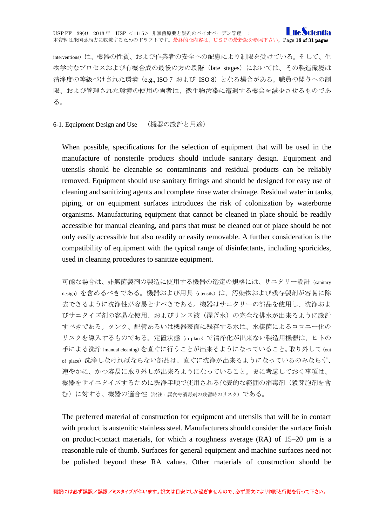interventions)は、機器の性質、および作業者の安全への配慮により制限を受けている。そして、生 物学的なプロセスおよび有機合成の最後の方の段階(late stages)においては、その製造環境は 清浄度の等級づけされた環境(e.g., ISO 7 および ISO 8)となる場合がある。職員の関与への制 限、および管理された環境の使用の両者は、微生物汚染に遭遇する機会を減少させるものであ る。

<span id="page-17-0"></span>6-1. Equipment Design and Use (機器の設計と用途)

When possible, specifications for the selection of equipment that will be used in the manufacture of nonsterile products should include sanitary design. Equipment and utensils should be cleanable so contaminants and residual products can be reliably removed. Equipment should use sanitary fittings and should be designed for easy use of cleaning and sanitizing agents and complete rinse water drainage. Residual water in tanks, piping, or on equipment surfaces introduces the risk of colonization by waterborne organisms. Manufacturing equipment that cannot be cleaned in place should be readily accessible for manual cleaning, and parts that must be cleaned out of place should be not only easily accessible but also readily or easily removable. A further consideration is the compatibility of equipment with the typical range of disinfectants, including sporicides, used in cleaning procedures to sanitize equipment.

可能な場合は、非無菌製剤の製造に使用する機器の選定の規格には、サニタリー設計(sanitary design)を含めるべきである。機器および用具 (utensils) は、汚染物および残存製剤が容易に除 去できるように洗浄性が容易とすべきである。機器はサニタリーの部品を使用し、洗浄およ びサニタイズ剤の容易な使用、およびリンス液(濯ぎ水)の完全な排水が出来るように設計 すべきである。タンク、配管あるいは機器表面に残存する水は、水棲菌によるコロニー化の リスクを導入するものである。定置状態(in place)で清浄化が出来ない製造用機器は、ヒトの 手による洗浄(manual cleaning)を直ぐに行うことが出来るようになっていること。取り外して(out of place)洗浄しなければならない部品は、直ぐに洗浄が出来るようになっているのみならず、 速やかに、かつ容易に取り外しが出来るようになっていること。更に考慮しておく事項は、 機器をサイニタイズするために洗浄手順で使用される代表的な範囲の消毒剤(殺芽胞剤を含 む)に対する、機器の適合性(訳注:腐食や消毒剤の残留時のリスク)である。

The preferred material of construction for equipment and utensils that will be in contact with product is austenitic stainless steel. Manufacturers should consider the surface finish on product-contact materials, for which a roughness average  $(RA)$  of 15–20  $\mu$ m is a reasonable rule of thumb. Surfaces for general equipment and machine surfaces need not be polished beyond these RA values. Other materials of construction should be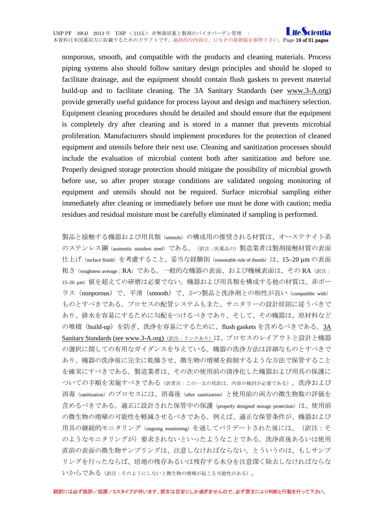#### **I** ife Scientia USP PF 39(4) 2013 年 USP <1115> 非無菌原薬と製剤のバイオバーデン管理 : 本資料は米国薬局方に収載するためのドラフトです。最終的な内容は、USPの最新版を参照下さい。Page 19 of 31 pages

nonporous, smooth, and compatible with the products and cleaning materials. Process piping systems also should follow sanitary design principles and should be sloped to facilitate drainage, and the equipment should contain flush gaskets to prevent material build-up and to facilitate cleaning. The 3A Sanitary Standards (see www.3-A.org) provide generally useful guidance for process layout and design and machinery selection. Equipment cleaning procedures should be detailed and should ensure that the equipment is completely dry after cleaning and is stored in a manner that prevents microbial proliferation. Manufacturers should implement procedures for the protection of cleaned equipment and utensils before their next use. Cleaning and sanitization processes should include the evaluation of microbial content both after sanitization and before use. Properly designed storage protection should mitigate the possibility of microbial growth before use, so after proper storage conditions are validated ongoing monitoring of equipment and utensils should not be required. Surface microbial sampling either immediately after cleaning or immediately before use must be done with caution; media residues and residual moisture must be carefully eliminated if sampling is performed.

製品と接触する機器および用具類(utensils)の構成用の推奨される材質は、オーステナイト系 のステンレス鋼 (austenitic stainless steel) である。(訳注: 医薬品の) 製造業者は製剤接触材質の表面 仕上げ (surface finish) を考慮すること。妥当な経験則 (reasonable rule of thumb) は、15–20 μm の表面 粗さ(roughness average; RA)である。一般的な機器の表面、および機械表面は、その RA(訳注: 15-20 μm) 値を超えての研磨は必要でない。機器および用具類を構成する他の材質は、非ポー ラス(nonporous)で、平滑(smooth)で、かつ製品と洗浄剤との相性が良い(compatible with) ものとすべきである。プロセスの配管システムもまた、サニタリーの設計原則に従うべきで あり、排水を容易にするために勾配をつけるべきであり、そして、その機器は、原材料など の堆積 (build-up) を防ぎ、洗浄を容易にするために、flush gaskets を含めるべきである。3A [Sanitary Standards](http://www.3-a.org/) [\(see www.3-A.org\)](http://www.3-a.org/) (訳注:リンクあり)は、プロセスのレイアウトと設計と機器 の選択に関しての有用なガイダンスを与えている。機器の洗浄方法は詳細なものとすべきで あり、機器の洗浄後に完全に乾燥させ、微生物の増殖を抑制するような方法で保管すること を確実にすべきである。製造業者は、その次の使用前の清浄化した機器および用具の保護に ついての手順を実施すべきである(訳者注:この一文の邦訳は、内容の検討が必要である)。洗浄および 消毒(sanitization)のプロセスには、消毒後(after sanitization)と使用前の両方の微生物数の評価を 含めるべきである。適正に設計された保管中の保護 (properly designed storage protection) は、使用前 の微生物の増殖の可能性を軽減させるべきである。例えば、適正な保管条件が、機器および 用具の継続的モニタリング(ongoing monitoring)を通してバリデートされた後には、(訳注:そ のようなモニタリングが)要求されないといったようなことである。洗浄直後あるいは使用 直前の表面の微生物サンプリングは、注意しなければならない。とういうのは、もしサンプ リングを行ったならば、培地の残存あるいは残存する水分を注意深く除去しなければならな いからである(訳注:そのようにしないと微生物の増殖が起こる可能性がある)。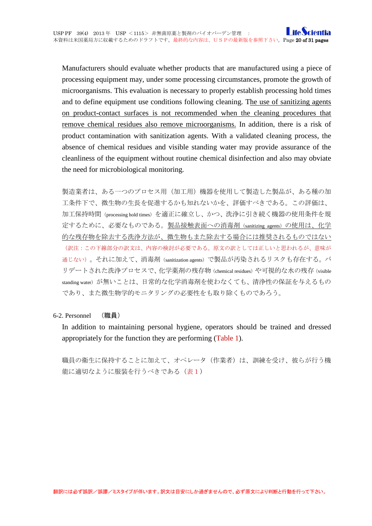Manufacturers should evaluate whether products that are manufactured using a piece of processing equipment may, under some processing circumstances, promote the growth of microorganisms. This evaluation is necessary to properly establish processing hold times and to define equipment use conditions following cleaning. The use of sanitizing agents on product-contact surfaces is not recommended when the cleaning procedures that remove chemical residues also remove microorganisms. In addition, there is a risk of product contamination with sanitization agents. With a validated cleaning process, the absence of chemical residues and visible standing water may provide assurance of the cleanliness of the equipment without routine chemical disinfection and also may obviate the need for microbiological monitoring.

製造業者は、ある一つのプロセス用(加工用)機器を使用して製造した製品が、ある種の加 工条件下で、微生物の生長を促進するかも知れないかを、評価すべきである。この評価は、 加工保持時間(processing hold times)を適正に確立し、かつ、洗浄に引き続く機器の使用条件を規 定するために、必要なものである。製品接触表面への消毒剤(sanitizing agents)の使用は、化学 的な残存物を除去する洗浄方法が、微生物もまた除去する場合には推奨されるものではない (訳注:この下線部分の訳文は、内容の検討が必要である。原文の訳としては正しいと思われるが、意味が 通じない)。それに加えて、消毒剤(sanitization agents)で製品が汚染されるリスクも存在する。バ リデートされた洗浄プロセスで、化学薬剤の残存物 (chemical residues) や可視的な水の残存 (visible standing water)が無いことは、日常的な化学消毒剤を使わなくても、清浄性の保証を与えるもの であり、また微生物学的モニタリングの必要性をも取り除くものであろう。

<span id="page-19-0"></span>6-2. Personnel (職員)

In addition to maintaining personal hygiene, operators should be trained and dressed appropriately for the function they are performing (Table 1).

職員の衛生に保持することに加えて、オペレータ(作業者)は、訓練を受け、彼らが行う機 能に適切なように服装を行うべきである(表1)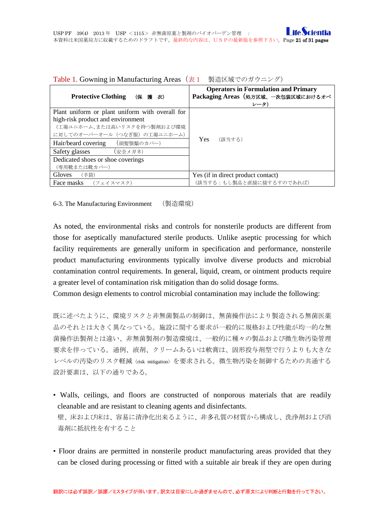| $\frac{1}{2}$ $\frac{1}{2}$ $\frac{1}{2}$ $\frac{1}{2}$ $\frac{1}{2}$ $\frac{1}{2}$ $\frac{1}{2}$ |                                                                                           |  |  |
|---------------------------------------------------------------------------------------------------|-------------------------------------------------------------------------------------------|--|--|
| <b>Protective Clothing</b><br>(保護を放)                                                              | <b>Operators in Formulation and Primary</b><br>Packaging Areas (処方区域、一次包装区域におけるオペ<br>レータ) |  |  |
| Plant uniform or plant uniform with overall for                                                   |                                                                                           |  |  |
| high-risk product and environment                                                                 |                                                                                           |  |  |
| (工場ユニホーム、または高いリスクを持つ製剤および環境                                                                       |                                                                                           |  |  |
| に対してのオーバーオール(つなぎ服)の工場ユニホーム)                                                                       |                                                                                           |  |  |
| Hair/beard covering<br>(頭髣顎鬚のカバー)                                                                 | <b>Yes</b><br>(該当する)                                                                      |  |  |
| Safety glasses<br>(安全メガネ)                                                                         |                                                                                           |  |  |
| Dedicated shoes or shoe coverings                                                                 |                                                                                           |  |  |
| (専用靴または靴カバー)                                                                                      |                                                                                           |  |  |
| Gloves<br>(手袋)                                                                                    | Yes (if in direct product contact)                                                        |  |  |
| Face masks $(7x+7z)$                                                                              | (該当する:もし製品と直接に接するすのであれば)                                                                  |  |  |

Table 1. Gowning in Manufacturing Areas(表1 製造区域でのガウニング)

<span id="page-20-0"></span>6-3. The Manufacturing Environment (製造環境)

As noted, the environmental risks and controls for nonsterile products are different from those for aseptically manufactured sterile products. Unlike aseptic processing for which facility requirements are generally uniform in specification and performance, nonsterile product manufacturing environments typically involve diverse products and microbial contamination control requirements. In general, liquid, cream, or ointment products require a greater level of contamination risk mitigation than do solid dosage forms.

Common design elements to control microbial contamination may include the following:

既に述べたように、環境リスクと非無菌製品の制御は、無菌操作法により製造される無菌医薬 品のそれとは大きく異なっている。施設に関する要求が一般的に規格および性能が均一的な無 菌操作法製剤とは違い、非無菌製剤の製造環境は、一般的に種々の製品および微生物汚染管理 要求を伴っている。通例、液剤、クリームあるいは軟膏は、固形投与剤型で行うよりも大きな レベルの汚染のリスク軽減(risk mitigation)を要求される。微生物汚染を制御するための共通する 設計要素は、以下の通りである。

- Walls, ceilings, and floors are constructed of nonporous materials that are readily cleanable and are resistant to cleaning agents and disinfectants. 壁、床および床は、容易に清浄化出来るように、非多孔質の材質から構成し、洗浄剤および消 毒剤に抵抗性を有すること
- Floor drains are permitted in nonsterile product manufacturing areas provided that they can be closed during processing or fitted with a suitable air break if they are open during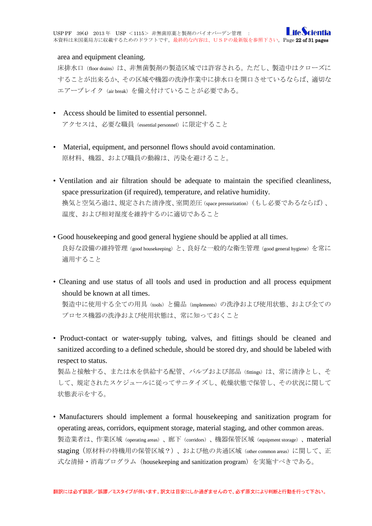#### area and equipment cleaning.

床排水口(floor drains)は、非無菌製剤の製造区域では許容される。ただし、製造中はクローズに することが出来るか、その区域や機器の洗浄作業中に排水口を開口させているならば、適切な エアーブレイク (air break)を備え付けていることが必要である。

- Access should be limited to essential personnel. アクセスは、必要な職員(essential personnel)に限定すること
- Material, equipment, and personnel flows should avoid contamination. 原材料、機器、および職員の動線は、汚染を避けること。
- Ventilation and air filtration should be adequate to maintain the specified cleanliness, space pressurization (if required), temperature, and relative humidity. 換気と空気ろ過は、規定された清浄度、室間差圧(space pressurization)(もし必要であるならば)、 温度、および相対湿度を維持するのに適切であること
- Good housekeeping and good general hygiene should be applied at all times. 良好な設備の維持管理(good housekeeping)と、良好な一般的な衛生管理(good general hygiene)を常に 適用すること
- Cleaning and use status of all tools and used in production and all process equipment should be known at all times.

製造中に使用する全ての用具 (tools) と備品 (implements) の洗浄および使用状態、および全ての プロセス機器の洗浄および使用状態は、常に知っておくこと

• Product-contact or water-supply tubing, valves, and fittings should be cleaned and sanitized according to a defined schedule, should be stored dry, and should be labeled with respect to status.

製品と接触する、または水を供給する配管、バルブおよび部品(fittings)は、常に清浄とし、そ して、規定されたスケジュールに従ってサニタイズし、乾燥状態で保管し、その状況に関して 状態表示をする。

• Manufacturers should implement a formal housekeeping and sanitization program for operating areas, corridors, equipment storage, material staging, and other common areas. 製造業者は、作業区域(operating areas)、廊下(corridors)、機器保管区域(equipment storage)、material staging(原材料の待機用の保管区域?)、および他の共通区域(other common areas)に関して、正 式な清掃・消毒プログラム(housekeeping and sanitization program)を実施すべきである。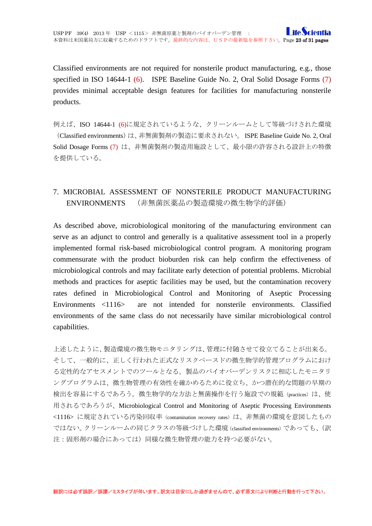Classified environments are not required for nonsterile product manufacturing, e.g., those specified in ISO 14644-1 (6). ISPE Baseline Guide No. 2, Oral Solid Dosage Forms (7) provides minimal acceptable design features for facilities for manufacturing nonsterile products.

例えば、ISO 14644-1 (6)に規定されているような、クリーンルームとして等級づけされた環境 (Classified environments)は、非無菌製剤の製造に要求されない。 ISPE Baseline Guide No. 2, Oral Solid Dosage Forms (7) は、非無菌製剤の製造用施設として、最小限の許容される設計上の特徴 を提供している。

## <span id="page-22-0"></span>7. MICROBIAL ASSESSMENT OF NONSTERILE PRODUCT MANUFACTURING ENVIRONMENTS (非無菌医薬品の製造環境の微生物学的評価)

As described above, microbiological monitoring of the manufacturing environment can serve as an adjunct to control and generally is a qualitative assessment tool in a properly implemented formal risk-based microbiological control program. A monitoring program commensurate with the product bioburden risk can help confirm the effectiveness of microbiological controls and may facilitate early detection of potential problems. Microbial methods and practices for aseptic facilities may be used, but the contamination recovery rates defined in Microbiological Control and Monitoring of Aseptic Processing Environments <1116> are not intended for nonsterile environments. Classified environments of the same class do not necessarily have similar microbiological control capabilities.

上述したように、製造環境の微生物モニタリングは、管理に付随させて役立てることが出来る。 そして、一般的に、正しく行われた正式なリスクベースドの微生物学的管理プログラムにおけ る定性的なアセスメントでのツールとなる。製品のバイオバーデンリスクに相応したモニタリ ングプログラムは、微生物管理の有効性を確かめるために役立ち、かつ潜在的な問題の早期の 検出を容易にするであろう。微生物学的な方法と無菌操作を行う施設での規範 (practices) は、使 用されるであろうが、Microbiological Control and Monitoring of Aseptic Processing Environments <1116> に規定されている汚染回収率 (contamination recovery rates) は、非無菌の環境を意図したもの ではない。クリーンルームの同じクラスの等級づけした環境(classified environments)であっても、(訳 注:固形剤の場合にあっては)同様な微生物管理の能力を持つ必要がない。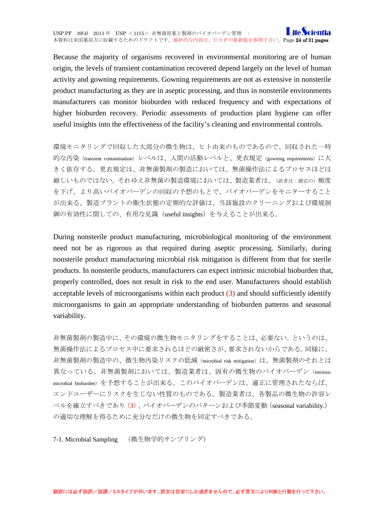Because the majority of organisms recovered in environmental monitoring are of human origin, the levels of transient contamination recovered depend largely on the level of human activity and gowning requirements. Gowning requirements are not as extensive in nonsterile product manufacturing as they are in aseptic processing, and thus in nonsterile environments manufacturers can monitor bioburden with reduced frequency and with expectations of higher bioburden recovery. Periodic assessments of production plant hygiene can offer useful insights into the effectiveness of the facility's cleaning and environmental controls.

環境モニタリングで回収した大部分の微生物は、ヒト由来のものであるので、回収された一時 的な汚染(transient contamination)レベルは、人間の活動レベルと、更衣規定(gowning requirements)に大 きく依存する。更衣規定は、非無菌製剤の製造においては、無菌操作法によるプロセスほどは 厳しいものではない。それゆえ非無菌の製造環境においては、製造業者は、(訳者注:測定の)頻度 を下げ、より高いバイオバーデンの回収の予想のもとで、バイオバーデンをモニターすること が出来る。製造プラントの衛生状態の定期的な評価は、当該施設のクリーニングおよび環境制 御の有効性に関しての、有用な見識(useful insights)を与えることが出来る。

During nonsterile product manufacturing, microbiological monitoring of the environment need not be as rigorous as that required during aseptic processing. Similarly, during nonsterile product manufacturing microbial risk mitigation is different from that for sterile products. In nonsterile products, manufacturers can expect intrinsic microbial bioburden that, properly controlled, does not result in risk to the end user. Manufacturers should establish acceptable levels of microorganisms within each product  $(3)$  and should sufficiently identify microorganisms to gain an appropriate understanding of bioburden patterns and seasonal variability.

非無菌製剤の製造中に、その環境の微生物モニタリングをすることは、必要ない。というのは、 無菌操作法によるプロセス中に要求されるほどの厳密さが、要求されないからである。同様に、 非無菌製剤の製造中の、微生物汚染リスクの低減 (microbial risk mitigation) は、無菌製剤のそれとは 異なっている。非無菌製剤においては、製造業者は、固有の微生物のバイオバーデン(intrinsic microbial bioburden)を予想することが出来る。このバイオバーデンは、適正に管理されたならば、 エンドユーザーにリスクを生じない性質のものである。製造業者は、各製品の微生物の許容レ ベルを確立すべきであり(3)、バイオバーデンのパターンおよび季節変動(seasonal variability.) の適切な理解を得るために充分なだけの微生物を同定すべきである。

<span id="page-23-0"></span>7-1. Microbial Sampling (微生物学的サンプリング)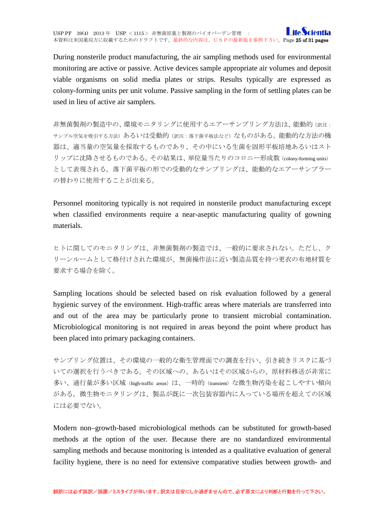During nonsterile product manufacturing, the air sampling methods used for environmental monitoring are active or passive. Active devices sample appropriate air volumes and deposit viable organisms on solid media plates or strips. Results typically are expressed as colony-forming units per unit volume. Passive sampling in the form of settling plates can be used in lieu of active air samplers.

非無菌製剤の製造中の、環境モニタリングに使用するエアーサンプリング方法は、能動的(訳注: サンプル空気を吸引する方法)あるいは受動的(訳注:落下菌平板法など)なものがある。能動的な方法の機 器は、適当量の空気量を採取するものであり、その中にいる生菌を固形平板培地あるいはスト リップに沈降させるものである。その結果は、単位量当たりのコロニー形成数(colony-forming units) として表現される。落下菌平板の形での受動的なサンプリングは、能動的なエアーサンプラー の替わりに使用することが出来る。

Personnel monitoring typically is not required in nonsterile product manufacturing except when classified environments require a near-aseptic manufacturing quality of gowning materials.

ヒトに関してのモニタリングは、非無菌製剤の製造では、一般的に要求されない。ただし、ク リーンルームとして格付けされた環境が、無菌操作法に近い製造品質を持つ更衣の布地材質を 要求する場合を除く。

Sampling locations should be selected based on risk evaluation followed by a general hygienic survey of the environment. High-traffic areas where materials are transferred into and out of the area may be particularly prone to transient microbial contamination. Microbiological monitoring is not required in areas beyond the point where product has been placed into primary packaging containers.

サンプリング位置は、その環境の一般的な衛生管理面での調査を行い、引き続きリスクに基づ いての選択を行うべきである。その区域への、あるいはその区域からの、原材料移送が非常に 多い、通行量が多い区域 (high-traffic areas) は、一時的 (transient) な微生物汚染を起こしやすい傾向 がある。微生物モニタリングは、製品が既に一次包装容器内に入っている場所を超えての区域 には必要でない。

Modern non–growth-based microbiological methods can be substituted for growth-based methods at the option of the user. Because there are no standardized environmental sampling methods and because monitoring is intended as a qualitative evaluation of general facility hygiene, there is no need for extensive comparative studies between growth- and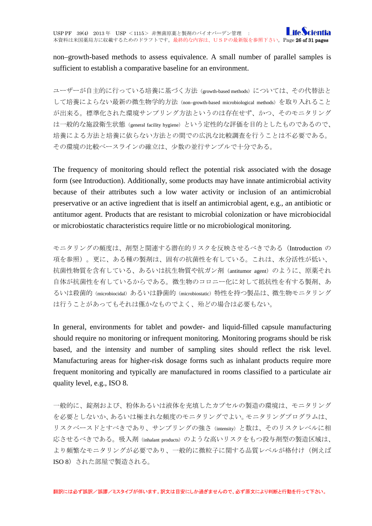non–growth-based methods to assess equivalence. A small number of parallel samples is sufficient to establish a comparative baseline for an environment.

ユーザーが自主的に行っている培養に基づく方法 (growth-based methods) については、その代替法と して培養によらない最新の微生物学的方法(non–growth-based microbiological methods)を取り入れること が出来る。標準化された環境サンプリング方法というのは存在せず、かつ、そのモニタリング は一般的な施設衛生状態 (general facility hygiene) という定性的な評価を目的としたものであるので、 培養による方法と培養に依らない方法との間での広汎な比較調査を行うことは不必要である。 その環境の比較ベースラインの確立は、少数の並行サンプルで十分である。

The frequency of monitoring should reflect the potential risk associated with the dosage form (see Introduction). Additionally, some products may have innate antimicrobial activity because of their attributes such a low water activity or inclusion of an antimicrobial preservative or an active ingredient that is itself an antimicrobial agent, e.g., an antibiotic or antitumor agent. Products that are resistant to microbial colonization or have microbiocidal or microbiostatic characteristics require little or no microbiological monitoring.

モニタリングの頻度は、剤型と関連する潜在的リスクを反映させるべきである (Introduction の 項を参照)。更に、ある種の製剤は、固有の抗菌性を有している。これは、水分活性が低い、 抗菌性物質を含有している、あるいは抗生物質や抗ガン剤(antitumor agent)のように、原薬それ 自体が抗菌性を有しているからである。微生物のコロニー化に対して抵抗性を有する製剤、あ るいは殺菌的(microbiocidal)あるいは静菌的(microbiostatic)特性を持つ製品は、微生物モニタリング は行うことがあってもそれは僅かなものでよく、殆どの場合は必要もない。

In general, environments for tablet and powder- and liquid-filled capsule manufacturing should require no monitoring or infrequent monitoring. Monitoring programs should be risk based, and the intensity and number of sampling sites should reflect the risk level. Manufacturing areas for higher-risk dosage forms such as inhalant products require more frequent monitoring and typically are manufactured in rooms classified to a particulate air quality level, e.g., ISO 8.

一般的に、錠剤および、粉体あるいは液体を充填したカプセルの製造の環境は、モニタリング を必要としないか、あるいは極まれな頻度のモニタリングでよい。モニタリングプログラムは、 リスクベースドとすべきであり、サンプリングの強さ(intensity)と数は、そのリスクレベルに相 応させるべきである。吸入剤(inhalant products)のような高いリスクをもつ投与剤型の製造区域は、 より頻繁なモニタリングが必要であり、一般的に微粒子に関する品質レベルが格付け(例えば ISO 8) された部屋で製造される。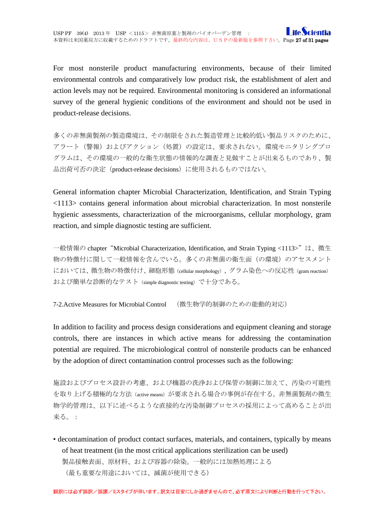For most nonsterile product manufacturing environments, because of their limited environmental controls and comparatively low product risk, the establishment of alert and action levels may not be required. Environmental monitoring is considered an informational survey of the general hygienic conditions of the environment and should not be used in product-release decisions.

多くの非無菌製剤の製造環境は、その制限をされた製造管理と比較的低い製品リスクのために、 アラート(警報)およびアクション(処置)の設定は、要求されない。環境モニタリングプロ グラムは、その環境の一般的な衛生状態の情報的な調査と見做すことが出来るものであり、製 品出荷可否の決定(product-release decisions)に使用されるものではない。

General information chapter Microbial Characterization, Identification, and Strain Typing <1113> contains general information about microbial characterization. In most nonsterile hygienic assessments, characterization of the microorganisms, cellular morphology, gram reaction, and simple diagnostic testing are sufficient.

一般情報の chapter"Microbial Characterization, Identification, and Strain Typing <1113>"は、微生 物の特徴付に関して一般情報を含んでいる。多くの非無菌の衛生面(の環境)のアセスメント においては、微生物の特徴付け、細胞形態(cellular morphology)、グラム染色への反応性(gram reaction) および簡単な診断的なテスト(simple diagnostic testing)で十分である。

<span id="page-26-0"></span>7-2.Active Measures for Microbial Control (微生物学的制御のための能動的対応)

In addition to facility and process design considerations and equipment cleaning and storage controls, there are instances in which active means for addressing the contamination potential are required. The microbiological control of nonsterile products can be enhanced by the adoption of direct contamination control processes such as the following:

施設およびプロセス設計の考慮、および機器の洗浄および保管の制御に加えて、汚染の可能性 を取り上げる積極的な方法(active means)が要求される場合の事例が存在する。非無菌製剤の微生 物学的管理は、以下に述べるような直接的な汚染制御プロセスの採用によって高めることが出 来る。:

• decontamination of product contact surfaces, materials, and containers, typically by means of heat treatment (in the most critical applications sterilization can be used) 製品接触表面、原材料、および容器の除染。一般的には加熱処理による (最も重要な用途においては、滅菌が使用できる)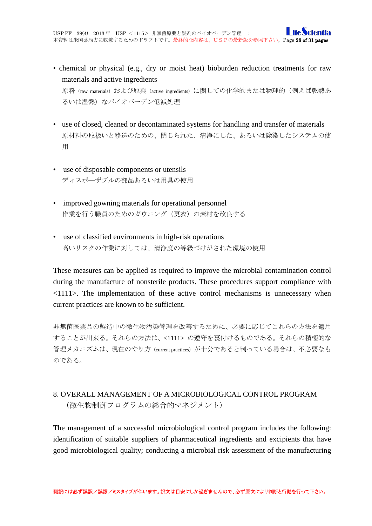- chemical or physical (e.g., dry or moist heat) bioburden reduction treatments for raw materials and active ingredients 原料(raw materials)および原薬(active ingredients)に関しての化学的または物理的(例えば乾熱あ るいは湿熱) なバイオバーデン低減処理
- use of closed, cleaned or decontaminated systems for handling and transfer of materials 原材料の取扱いと移送のための、閉じられた、清浄にした、あるいは除染したシステムの使 用
- use of disposable components or utensils ディスポ―ザブルの部品あるいは用具の使用
- improved gowning materials for operational personnel 作業を行う職員のためのガウニング(更衣)の素材を改良する
- use of classified environments in high-risk operations 高いリスクの作業に対しては、清浄度の等級づけがされた環境の使用

These measures can be applied as required to improve the microbial contamination control during the manufacture of nonsterile products. These procedures support compliance with <1111>. The implementation of these active control mechanisms is unnecessary when current practices are known to be sufficient.

非無菌医薬品の製造中の微生物汚染管理を改善するために、必要に応じてこれらの方法を適用 することが出来る。それらの方法は、<1111> の遵守を裏付けるものである。それらの積極的な 管理メカニズムは、現在のやり方 (current practices) が十分であると判っている場合は、不必要なも のである。

# <span id="page-27-0"></span>8. OVERALL MANAGEMENT OF A MICROBIOLOGICAL CONTROL PROGRAM (微生物制御プログラムの総合的マネジメント)

The management of a successful microbiological control program includes the following: identification of suitable suppliers of pharmaceutical ingredients and excipients that have good microbiological quality; conducting a microbial risk assessment of the manufacturing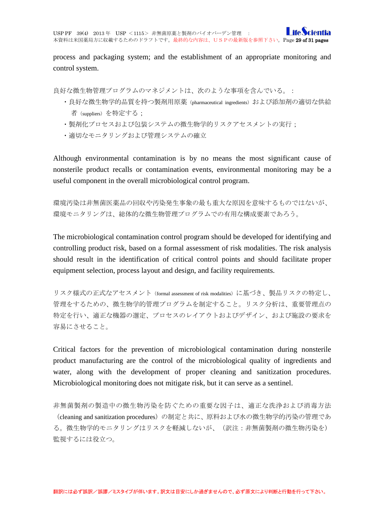process and packaging system; and the establishment of an appropriate monitoring and control system.

良好な微生物管理プログラムのマネジメントは、次のような事項を含んでいる。:

- ・良好な微生物学的品質を持つ製剤用原薬(pharmaceutical ingredients)および添加剤の適切な供給 者(suppliers)を特定する;
- ・製剤化プロセスおよび包装システムの微生物学的リスクアセスメントの実行;
- ・適切なモニタリングおよび管理システムの確立

Although environmental contamination is by no means the most significant cause of nonsterile product recalls or contamination events, environmental monitoring may be a useful component in the overall microbiological control program.

環境汚染は非無菌医薬品の回収や汚染発生事象の最も重大な原因を意味するものではないが、 環境モニタリングは、総体的な微生物管理プログラムでの有用な構成要素であろう。

The microbiological contamination control program should be developed for identifying and controlling product risk, based on a formal assessment of risk modalities. The risk analysis should result in the identification of critical control points and should facilitate proper equipment selection, process layout and design, and facility requirements.

リスク様式の正式なアセスメント (formal assessment of risk modalities)に基づき、製品リスクの特定し、 管理をするための、微生物学的管理プログラムを制定すること。リスク分析は、重要管理点の 特定を行い、適正な機器の選定、プロセスのレイアウトおよびデザイン、および施設の要求を 容易にさせること。

Critical factors for the prevention of microbiological contamination during nonsterile product manufacturing are the control of the microbiological quality of ingredients and water, along with the development of proper cleaning and sanitization procedures. Microbiological monitoring does not mitigate risk, but it can serve as a sentinel.

非無菌製剤の製造中の微生物汚染を防ぐための重要な因子は、適正な洗浄および消毒方法 (cleaning and sanitization procedures)の制定と共に、原料および水の微生物学的汚染の管理であ る。微生物学的モニタリングはリスクを軽減しないが、(訳注:非無菌製剤の微生物汚染を) 監視するには役立つ。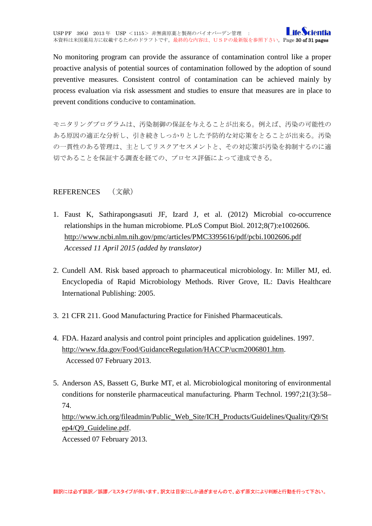No monitoring program can provide the assurance of contamination control like a proper proactive analysis of potential sources of contamination followed by the adoption of sound preventive measures. Consistent control of contamination can be achieved mainly by process evaluation via risk assessment and studies to ensure that measures are in place to prevent conditions conducive to contamination.

モニタリングプログラムは、汚染制御の保証を与えることが出来る。例えば、汚染の可能性の ある原因の適正な分析し、引き続きしっかりとした予防的な対応策をとることが出来る。汚染 の一貫性のある管理は、主としてリスクアセスメントと、その対応策が汚染を抑制するのに適 切であることを保証する調査を経ての、プロセス評価によって達成できる。

<span id="page-29-0"></span>REFERENCES (文献)

- 1. Faust K, Sathirapongsasuti JF, Izard J, et al. (2012) Microbial co-occurrence relationships in the human microbiome. PLoS Comput Biol. 2012;8(7):e1002606. <http://www.ncbi.nlm.nih.gov/pmc/articles/PMC3395616/pdf/pcbi.1002606.pdf> *Accessed 11 April 2015 (added by translator)*
- 2. Cundell AM. Risk based approach to pharmaceutical microbiology. In: Miller MJ, ed. Encyclopedia of Rapid Microbiology Methods. River Grove, IL: Davis Healthcare International Publishing: 2005.
- 3. 21 CFR 211. Good Manufacturing Practice for Finished Pharmaceuticals.
- 4. FDA. Hazard analysis and control point principles and application guidelines. 1997. [http://www.fda.gov/Food/GuidanceRegulation/HACCP/ucm2006801.htm.](http://www.fda.gov/Food/GuidanceRegulation/HACCP/ucm2006801.htm) Accessed 07 February 2013.
- 5. Anderson AS, Bassett G, Burke MT, et al. Microbiological monitoring of environmental conditions for nonsterile pharmaceutical manufacturing. Pharm Technol. 1997;21(3):58– 74. [http://www.ich.org/fileadmin/Public\\_Web\\_Site/ICH\\_Products/Guidelines/Quality/Q9/St](http://www.ich.org/fileadmin/Public_Web_Site/ICH_Products/Guidelines/Quality/Q9/Step4/Q9_Guideline.pdf) [ep4/Q9\\_Guideline.pdf.](http://www.ich.org/fileadmin/Public_Web_Site/ICH_Products/Guidelines/Quality/Q9/Step4/Q9_Guideline.pdf) Accessed 07 February 2013.